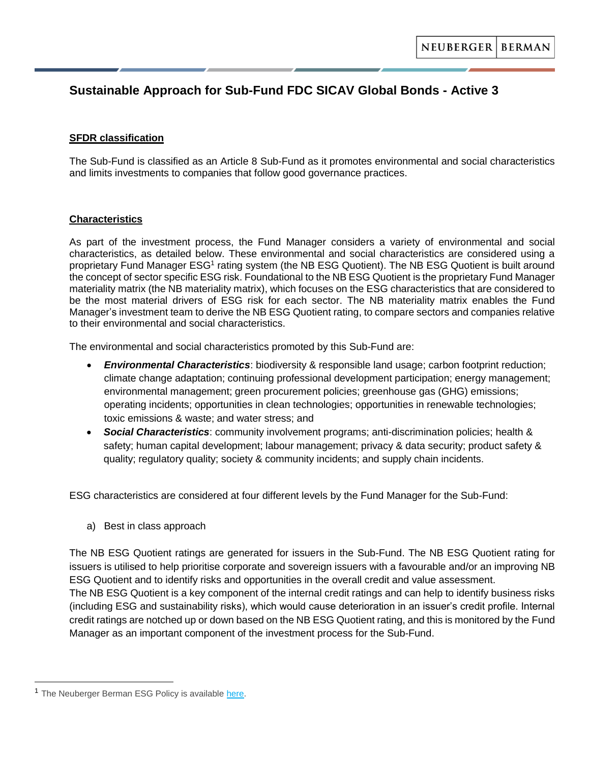# **Sustainable Approach for Sub-Fund FDC SICAV Global Bonds - Active 3**

#### **SFDR classification**

The Sub-Fund is classified as an Article 8 Sub-Fund as it promotes environmental and social characteristics and limits investments to companies that follow good governance practices.

## **Characteristics**

As part of the investment process, the Fund Manager considers a variety of environmental and social characteristics, as detailed below. These environmental and social characteristics are considered using a proprietary Fund Manager ESG<sup>1</sup> rating system (the NB ESG Quotient). The NB ESG Quotient is built around the concept of sector specific ESG risk. Foundational to the NB ESG Quotient is the proprietary Fund Manager materiality matrix (the NB materiality matrix), which focuses on the ESG characteristics that are considered to be the most material drivers of ESG risk for each sector. The NB materiality matrix enables the Fund Manager's investment team to derive the NB ESG Quotient rating, to compare sectors and companies relative to their environmental and social characteristics.

The environmental and social characteristics promoted by this Sub-Fund are:

- *Environmental Characteristics*: biodiversity & responsible land usage; carbon footprint reduction; climate change adaptation; continuing professional development participation; energy management; environmental management; green procurement policies; greenhouse gas (GHG) emissions; operating incidents; opportunities in clean technologies; opportunities in renewable technologies; toxic emissions & waste; and water stress; and
- *Social Characteristics*: community involvement programs; anti-discrimination policies; health & safety; human capital development; labour management; privacy & data security; product safety & quality; regulatory quality; society & community incidents; and supply chain incidents.

ESG characteristics are considered at four different levels by the Fund Manager for the Sub-Fund:

a) Best in class approach

The NB ESG Quotient ratings are generated for issuers in the Sub-Fund. The NB ESG Quotient rating for issuers is utilised to help prioritise corporate and sovereign issuers with a favourable and/or an improving NB ESG Quotient and to identify risks and opportunities in the overall credit and value assessment.

The NB ESG Quotient is a key component of the internal credit ratings and can help to identify business risks (including ESG and sustainability risks), which would cause deterioration in an issuer's credit profile. Internal credit ratings are notched up or down based on the NB ESG Quotient rating, and this is monitored by the Fund Manager as an important component of the investment process for the Sub-Fund.

<sup>&</sup>lt;sup>1</sup> The Neuberger Berman ESG Policy is available [here.](https://www.nb.com/handlers/documents.ashx?id=05654212-db3d-428b-b65a-1931706e63a8&name=S0173_NB_Environmental_Social_and_Governance_Policy)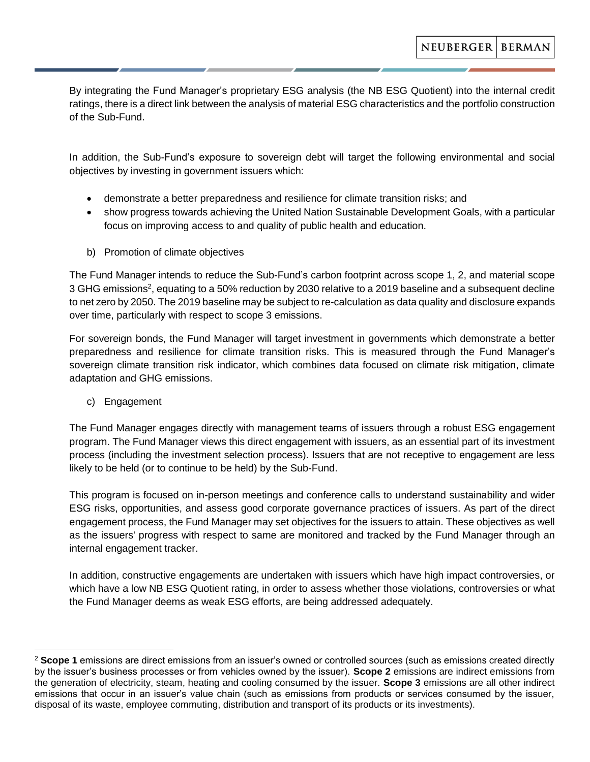By integrating the Fund Manager's proprietary ESG analysis (the NB ESG Quotient) into the internal credit ratings, there is a direct link between the analysis of material ESG characteristics and the portfolio construction of the Sub-Fund.

In addition, the Sub-Fund's exposure to sovereign debt will target the following environmental and social objectives by investing in government issuers which:

- demonstrate a better preparedness and resilience for climate transition risks; and
- show progress towards achieving the United Nation Sustainable Development Goals, with a particular focus on improving access to and quality of public health and education.
- b) Promotion of climate objectives

The Fund Manager intends to reduce the Sub-Fund's carbon footprint across scope 1, 2, and material scope 3 GHG emissions<sup>2</sup>, equating to a 50% reduction by 2030 relative to a 2019 baseline and a subsequent decline to net zero by 2050. The 2019 baseline may be subject to re-calculation as data quality and disclosure expands over time, particularly with respect to scope 3 emissions.

For sovereign bonds, the Fund Manager will target investment in governments which demonstrate a better preparedness and resilience for climate transition risks. This is measured through the Fund Manager's sovereign climate transition risk indicator, which combines data focused on climate risk mitigation, climate adaptation and GHG emissions.

c) Engagement

The Fund Manager engages directly with management teams of issuers through a robust ESG engagement program. The Fund Manager views this direct engagement with issuers, as an essential part of its investment process (including the investment selection process). Issuers that are not receptive to engagement are less likely to be held (or to continue to be held) by the Sub-Fund.

This program is focused on in-person meetings and conference calls to understand sustainability and wider ESG risks, opportunities, and assess good corporate governance practices of issuers. As part of the direct engagement process, the Fund Manager may set objectives for the issuers to attain. These objectives as well as the issuers' progress with respect to same are monitored and tracked by the Fund Manager through an internal engagement tracker.

In addition, constructive engagements are undertaken with issuers which have high impact controversies, or which have a low NB ESG Quotient rating, in order to assess whether those violations, controversies or what the Fund Manager deems as weak ESG efforts, are being addressed adequately.

<sup>2</sup> **Scope 1** emissions are direct emissions from an issuer's owned or controlled sources (such as emissions created directly by the issuer's business processes or from vehicles owned by the issuer). **Scope 2** emissions are indirect emissions from the generation of electricity, steam, heating and cooling consumed by the issuer. **Scope 3** emissions are all other indirect emissions that occur in an issuer's value chain (such as emissions from products or services consumed by the issuer, disposal of its waste, employee commuting, distribution and transport of its products or its investments).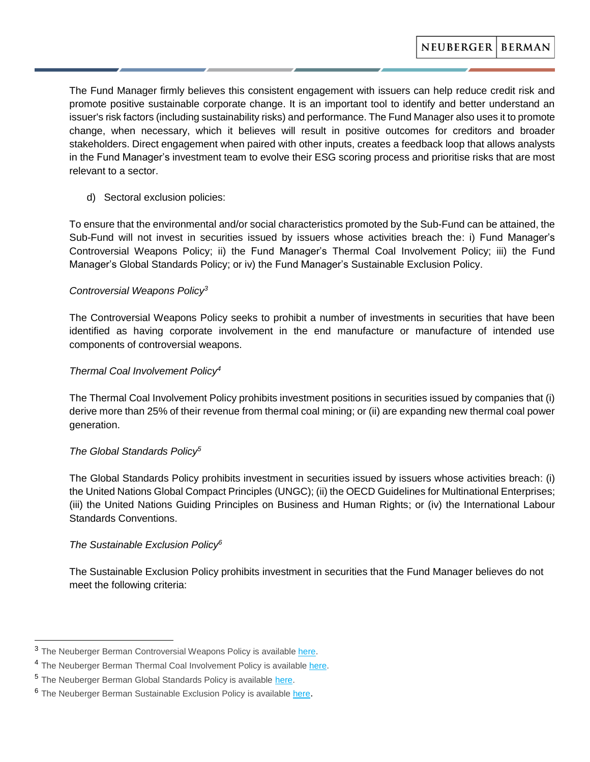The Fund Manager firmly believes this consistent engagement with issuers can help reduce credit risk and promote positive sustainable corporate change. It is an important tool to identify and better understand an issuer's risk factors (including sustainability risks) and performance. The Fund Manager also uses it to promote change, when necessary, which it believes will result in positive outcomes for creditors and broader stakeholders. Direct engagement when paired with other inputs, creates a feedback loop that allows analysts in the Fund Manager's investment team to evolve their ESG scoring process and prioritise risks that are most relevant to a sector.

d) Sectoral exclusion policies:

To ensure that the environmental and/or social characteristics promoted by the Sub-Fund can be attained, the Sub-Fund will not invest in securities issued by issuers whose activities breach the: i) Fund Manager's Controversial Weapons Policy; ii) the Fund Manager's Thermal Coal Involvement Policy; iii) the Fund Manager's Global Standards Policy; or iv) the Fund Manager's Sustainable Exclusion Policy.

## *Controversial Weapons Policy<sup>3</sup>*

The Controversial Weapons Policy seeks to prohibit a number of investments in securities that have been identified as having corporate involvement in the end manufacture or manufacture of intended use components of controversial weapons.

## *Thermal Coal Involvement Policy<sup>4</sup>*

The Thermal Coal Involvement Policy prohibits investment positions in securities issued by companies that (i) derive more than 25% of their revenue from thermal coal mining; or (ii) are expanding new thermal coal power generation.

#### *The Global Standards Policy<sup>5</sup>*

The Global Standards Policy prohibits investment in securities issued by issuers whose activities breach: (i) the United Nations Global Compact Principles (UNGC); (ii) the OECD Guidelines for Multinational Enterprises; (iii) the United Nations Guiding Principles on Business and Human Rights; or (iv) the International Labour Standards Conventions.

## *The Sustainable Exclusion Policy<sup>6</sup>*

The Sustainable Exclusion Policy prohibits investment in securities that the Fund Manager believes do not meet the following criteria:

<sup>&</sup>lt;sup>3</sup> The Neuberger Berman Controversial Weapons Policy is availabl[e here.](https://www.nb.com/handlers/documents.ashx?id=f691444f-492a-4d5d-9435-222615e28b05&name=Neuberger_Berman_UCITS_Controversial_Weapons_Exclusion_Policy)

<sup>&</sup>lt;sup>4</sup> The Neuberger Berman Thermal Coal Involvement Policy is available [here.](https://www.nb.com/handlers/documents.ashx?id=0c0d4a1f-a996-40cc-a62a-e676a11ba9d8&name=NB_Thermal-Coal-Involvement-Policy_1020.pdf)

<sup>5</sup> The Neuberger Berman Global Standards Policy is available [here.](https://www.nb.com/handlers/documents.ashx?id=b23de220-a347-4b3e-a16c-ffe87a94d6ea&name=Neuberger_Berman_Global_Standards_Policy_EMEA)

<sup>6</sup> The Neuberger Berman Sustainable Exclusion Policy is available [here](https://www.nb.com/handlers/documents.ashx?id=41aec232-fcc7-41ef-ae60-d71141469bf2&name=S0266_sustainable_exclusions_policy).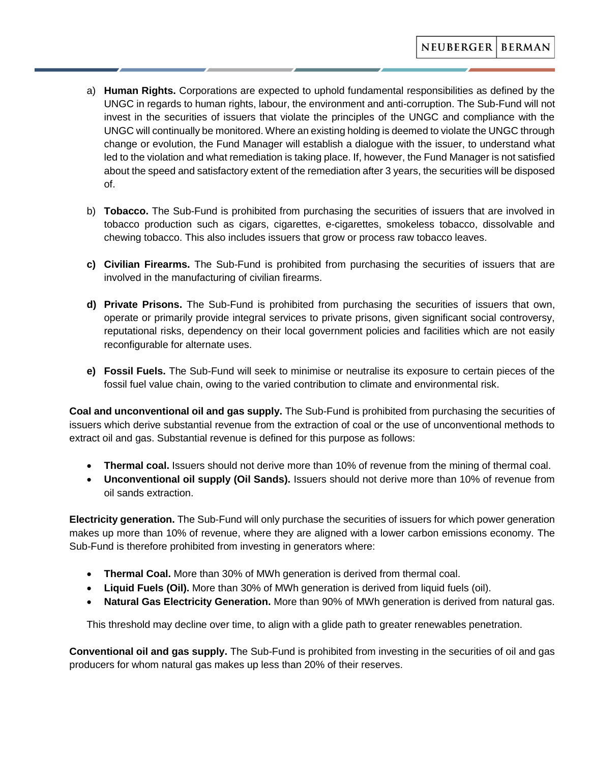- a) **Human Rights.** Corporations are expected to uphold fundamental responsibilities as defined by the UNGC in regards to human rights, labour, the environment and anti-corruption. The Sub-Fund will not invest in the securities of issuers that violate the principles of the UNGC and compliance with the UNGC will continually be monitored. Where an existing holding is deemed to violate the UNGC through change or evolution, the Fund Manager will establish a dialogue with the issuer, to understand what led to the violation and what remediation is taking place. If, however, the Fund Manager is not satisfied about the speed and satisfactory extent of the remediation after 3 years, the securities will be disposed of.
- b) **Tobacco.** The Sub-Fund is prohibited from purchasing the securities of issuers that are involved in tobacco production such as cigars, cigarettes, e-cigarettes, smokeless tobacco, dissolvable and chewing tobacco. This also includes issuers that grow or process raw tobacco leaves.
- **c) Civilian Firearms.** The Sub-Fund is prohibited from purchasing the securities of issuers that are involved in the manufacturing of civilian firearms.
- **d) Private Prisons.** The Sub-Fund is prohibited from purchasing the securities of issuers that own, operate or primarily provide integral services to private prisons, given significant social controversy, reputational risks, dependency on their local government policies and facilities which are not easily reconfigurable for alternate uses.
- **e) Fossil Fuels.** The Sub-Fund will seek to minimise or neutralise its exposure to certain pieces of the fossil fuel value chain, owing to the varied contribution to climate and environmental risk.

**Coal and unconventional oil and gas supply.** The Sub-Fund is prohibited from purchasing the securities of issuers which derive substantial revenue from the extraction of coal or the use of unconventional methods to extract oil and gas. Substantial revenue is defined for this purpose as follows:

- **Thermal coal.** Issuers should not derive more than 10% of revenue from the mining of thermal coal.
- **Unconventional oil supply (Oil Sands).** Issuers should not derive more than 10% of revenue from oil sands extraction.

**Electricity generation.** The Sub-Fund will only purchase the securities of issuers for which power generation makes up more than 10% of revenue, where they are aligned with a lower carbon emissions economy. The Sub-Fund is therefore prohibited from investing in generators where:

- **Thermal Coal.** More than 30% of MWh generation is derived from thermal coal.
- **Liquid Fuels (Oil).** More than 30% of MWh generation is derived from liquid fuels (oil).
- **Natural Gas Electricity Generation.** More than 90% of MWh generation is derived from natural gas.

This threshold may decline over time, to align with a glide path to greater renewables penetration.

**Conventional oil and gas supply.** The Sub-Fund is prohibited from investing in the securities of oil and gas producers for whom natural gas makes up less than 20% of their reserves.